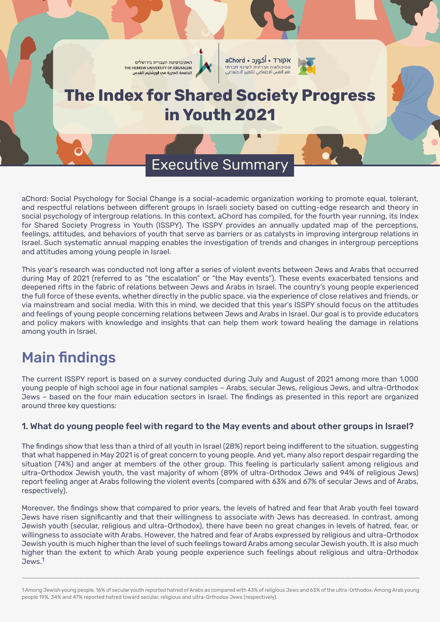

aChord: Social Psychology for Social Change is a social-academic organization working to promote equal, tolerant, and respectful relations between different groups in Israeli society based on cutting-edge research and theory in social psychology of intergroup relations. In this context, aChord has compiled, for the fourth year running, its Index for Shared Society Progress in Youth (ISSPY). The ISSPY provides an annually updated map of the perceptions, feelings, attitudes, and behaviors of youth that serve as barriers or as catalysts in improving intergroup relations in Israel. Such systematic annual mapping enables the investigation of trends and changes in intergroup perceptions and attitudes among young people in Israel.

This year's research was conducted not long after a series of violent events between Jews and Arabs that occurred during May of 2021 (referred to as "the escalation" or "the May events"). These events exacerbated tensions and deepened rifts in the fabric of relations between Jews and Arabs in Israel. The country's young people experienced the full force of these events, whether directly in the public space, via the experience of close relatives and friends, or via mainstream and social media. With this in mind, we decided that this year's ISSPY should focus on the attitudes and feelings of young people concerning relations between Jews and Arabs in Israel. Our goal is to provide educators and policy makers with knowledge and insights that can help them work toward healing the damage in relations among youth in Israel.

# Main findings

The current ISSPY report is based on a survey conducted during July and August of 2021 among more than 1,000 young people of high school age in four national samples – Arabs, secular Jews, religious Jews, and ultra-Orthodox Jews – based on the four main education sectors in Israel. The findings as presented in this report are organized around three key questions:

## 1. What do young people feel with regard to the May events and about other groups in Israel?

The findings show that less than a third of all youth in Israel (28%) report being indifferent to the situation, suggesting that what happened in May 2021 is of great concern to young people. And yet, many also report despair regarding the situation (74%) and anger at members of the other group. This feeling is particularly salient among religious and ultra-Orthodox Jewish youth, the vast majority of whom (89% of ultra-Orthodox Jews and 94% of religious Jews) report feeling anger at Arabs following the violent events (compared with 63% and 67% of secular Jews and of Arabs, respectively).

Moreover, the findings show that compared to prior years, the levels of hatred and fear that Arab youth feel toward Jews have risen significantly and that their willingness to associate with Jews has decreased. In contrast, among Jewish youth (secular, religious and ultra-Orthodox), there have been no great changes in levels of hatred, fear, or willingness to associate with Arabs. However, the hatred and fear of Arabs expressed by religious and ultra-Orthodox Jewish youth is much higher than the level of such feelings toward Arabs among secular Jewish youth. It is also much higher than the extent to which Arab young people experience such feelings about religious and ultra-Orthodox Jews.<sup>1</sup>

.............................................................................................................................................................................................................................................................................

<sup>1</sup> Among Jewish young people, 16% of secular youth reported hatred of Arabs as compared with 43% of religious Jews and 63% of the ultra-Orthodox. Among Arab young people 19%, 34% and 47% reported hatred toward secular, religious and ultra-Orthodox Jews (respectively).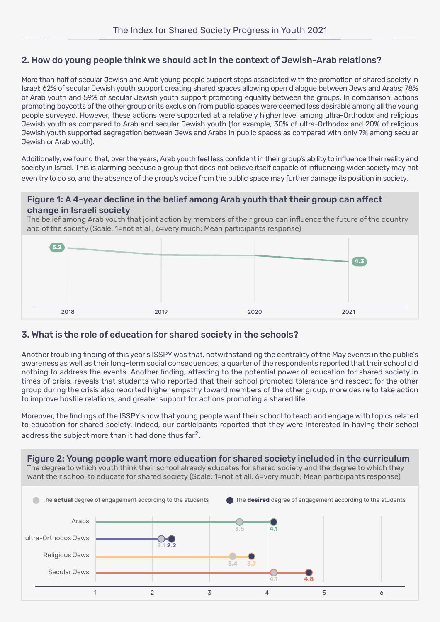## 2. How do young people think we should act in the context of Jewish-Arab relations?

More than half of secular Jewish and Arab young people support steps associated with the promotion of shared society in Israel: 62% of secular Jewish youth support creating shared spaces allowing open dialogue between Jews and Arabs; 78% of Arab youth and 59% of secular Jewish youth support promoting equality between the groups. In comparison, actions promoting boycotts of the other group or its exclusion from public spaces were deemed less desirable among all the young people surveyed. However, these actions were supported at a relatively higher level among ultra-Orthodox and religious Jewish youth as compared to Arab and secular Jewish youth (for example, 30% of ultra-Orthodox and 20% of religious Jewish youth supported segregation between Jews and Arabs in public spaces as compared with only 7% among secular Jewish or Arab youth).

Additionally, we found that, over the years, Arab youth feel less confident in their group's ability to influence their reality and society in Israel. This is alarming because a group that does not believe itself capable of influencing wider society may not even try to do so, and the absence of the group's voice from the public space may further damage its position in society.

#### Figure 1: A 4-year decline in the belief among Arab youth that their group can affect change in Israeli society

The belief among Arab youth that joint action by members of their group can influence the future of the country and of the society (Scale: 1=not at all, 6=very much; Mean participants response)



#### 3. What is the role of education for shared society in the schools?

Another troubling finding of this year's ISSPY was that, notwithstanding the centrality of the May events in the public's awareness as well as their long-term social consequences, a quarter of the respondents reported that their school did nothing to address the events. Another finding, attesting to the potential power of education for shared society in times of crisis, reveals that students who reported that their school promoted tolerance and respect for the other group during the crisis also reported higher empathy toward members of the other group, more desire to take action to improve hostile relations, and greater support for actions promoting a shared life.

Moreover, the findings of the ISSPY show that young people want their school to teach and engage with topics related to education for shared society. Indeed, our participants reported that they were interested in having their school address the subject more than it had done thus far<sup>2</sup>.